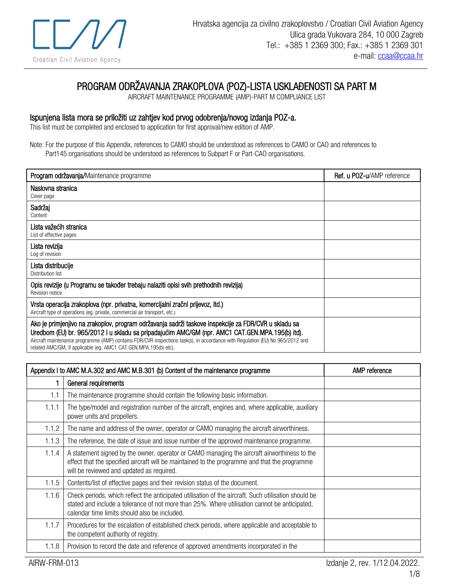

## PROGRAM ODRŽAVANJA ZRAKOPLOVA (POZ)-LISTA USKLAĐENOSTI SA PART M

AIRCRAFT MAINTENANCE PROGRAMME (AMP)-PART M COMPLIANCE LIST

## Ispunjena lista mora se priložiti uz zahtjev kod prvog odobrenja/novog izdanja POZ-a.

This list must be completed and enclosed to application for first approval/new edition of AMP.

Note: For the purpose of this Appendix, references to CAMO should be understood as references to CAMO or CAO and references to Part145 organisations should be understood as references to Subpart F or Part-CAO organisations.

| Program održavanja/Maintenance programme                                                                                                                                                                                                                                                                                                                                                                     | <b>Ref. u POZ-u/AMP</b> reference |
|--------------------------------------------------------------------------------------------------------------------------------------------------------------------------------------------------------------------------------------------------------------------------------------------------------------------------------------------------------------------------------------------------------------|-----------------------------------|
| Naslovna stranica<br>Cover page                                                                                                                                                                                                                                                                                                                                                                              |                                   |
| Sadržaj<br>Content                                                                                                                                                                                                                                                                                                                                                                                           |                                   |
| Lista važećih stranica<br>List of effective pages                                                                                                                                                                                                                                                                                                                                                            |                                   |
| Lista revizija<br>Log of revision                                                                                                                                                                                                                                                                                                                                                                            |                                   |
| Lista distribucije<br>Distribution list                                                                                                                                                                                                                                                                                                                                                                      |                                   |
| Opis revizije (u Programu se također trebaju nalaziti opisi svih prethodnih revizija)<br>Revision notice                                                                                                                                                                                                                                                                                                     |                                   |
| Vrsta operacija zrakoplova (npr. privatna, komercijalni zračni prijevoz, itd.)<br>Aircraft type of operations (eg. private, commercial air transport, etc.)                                                                                                                                                                                                                                                  |                                   |
| Ako je primjenjivo na zrakoplov, program održavanja sadrži taskove inspekcije za FDR/CVR u skladu sa<br>Uredbom (EU) br. 965/2012 i u skladu sa pripadajućim AMC/GM (npr. AMC1 CAT.GEN.MPA.195(b) itd).<br>Aircraft maintenance programme (AMP) contains FDR/CVR inspections task(s), in accordance with Regulation (EU) No 965/2012 and<br>related AMC/GM, if applicable (eq. AMC1 CAT.GEN.MPA.195(b) etc). |                                   |

| Appendix I to AMC M.A.302 and AMC M.B.301 (b) Content of the maintenance programme |                                                                                                                                                                                                                                                        | AMP reference |
|------------------------------------------------------------------------------------|--------------------------------------------------------------------------------------------------------------------------------------------------------------------------------------------------------------------------------------------------------|---------------|
|                                                                                    | General requirements                                                                                                                                                                                                                                   |               |
| 1.1                                                                                | The maintenance programme should contain the following basic information.                                                                                                                                                                              |               |
| 1.1.1                                                                              | The type/model and registration number of the aircraft, engines and, where applicable, auxiliary<br>power units and propellers.                                                                                                                        |               |
| 1.1.2                                                                              | The name and address of the owner, operator or CAMO managing the aircraft airworthiness.                                                                                                                                                               |               |
| 1.1.3                                                                              | The reference, the date of issue and issue number of the approved maintenance programme.                                                                                                                                                               |               |
| 1.1.4                                                                              | A statement signed by the owner, operator or CAMO managing the aircraft airworthiness to the<br>effect that the specified aircraft will be maintained to the programme and that the programme<br>will be reviewed and updated as required.             |               |
| 1.1.5                                                                              | Contents/list of effective pages and their revision status of the document.                                                                                                                                                                            |               |
| 1.1.6                                                                              | Check periods, which reflect the anticipated utilisation of the aircraft. Such utilisation should be<br>stated and include a tolerance of not more than 25%. Where utilisation cannot be anticipated,<br>calendar time limits should also be included. |               |
| 1.1.7                                                                              | Procedures for the escalation of established check periods, where applicable and acceptable to<br>the competent authority of registry.                                                                                                                 |               |
| 1.1.8                                                                              | Provision to record the date and reference of approved amendments incorporated in the                                                                                                                                                                  |               |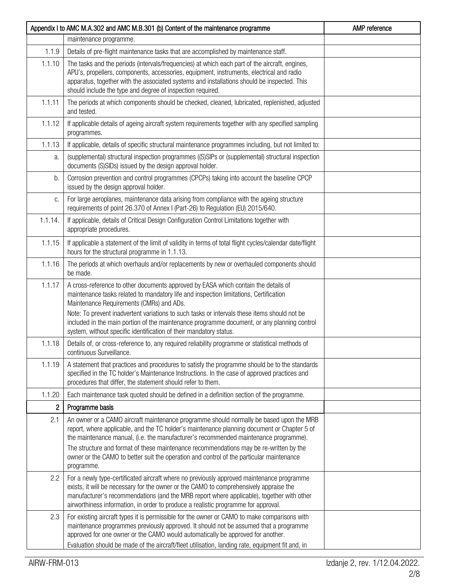|                | Appendix I to AMC M.A.302 and AMC M.B.301 (b) Content of the maintenance programme                                                                                                                                                                                                                                                                                                                                                                                                 | AMP reference |
|----------------|------------------------------------------------------------------------------------------------------------------------------------------------------------------------------------------------------------------------------------------------------------------------------------------------------------------------------------------------------------------------------------------------------------------------------------------------------------------------------------|---------------|
|                | maintenance programme.                                                                                                                                                                                                                                                                                                                                                                                                                                                             |               |
| 1.1.9          | Details of pre-flight maintenance tasks that are accomplished by maintenance staff.                                                                                                                                                                                                                                                                                                                                                                                                |               |
| 1.1.10         | The tasks and the periods (intervals/frequencies) at which each part of the aircraft, engines,<br>APU's, propellers, components, accessories, equipment, instruments, electrical and radio<br>apparatus, together with the associated systems and installations should be inspected. This<br>should include the type and degree of inspection required.                                                                                                                            |               |
| 1.1.11         | The periods at which components should be checked, cleaned, lubricated, replenished, adjusted<br>and tested.                                                                                                                                                                                                                                                                                                                                                                       |               |
| 1.1.12         | If applicable details of ageing aircraft system requirements together with any specified sampling<br>programmes.                                                                                                                                                                                                                                                                                                                                                                   |               |
| 1.1.13         | If applicable, details of specific structural maintenance programmes including, but not limited to:                                                                                                                                                                                                                                                                                                                                                                                |               |
| a.             | (supplemental) structural inspection programmes ((S)SIPs or (supplemental) structural inspection<br>documents (S)SIDs) issued by the design approval holder.                                                                                                                                                                                                                                                                                                                       |               |
| b.             | Corrosion prevention and control programmes (CPCPs) taking into account the baseline CPCP<br>issued by the design approval holder.                                                                                                                                                                                                                                                                                                                                                 |               |
| C.             | For large aeroplanes, maintenance data arising from compliance with the ageing structure<br>requirements of point 26.370 of Annex I (Part-26) to Regulation (EU) 2015/640.                                                                                                                                                                                                                                                                                                         |               |
| 1.1.14.        | If applicable, details of Critical Design Configuration Control Limitations together with<br>appropriate procedures.                                                                                                                                                                                                                                                                                                                                                               |               |
| 1.1.15         | If applicable a statement of the limit of validity in terms of total flight cycles/calendar date/flight<br>hours for the structural programme in 1.1.13.                                                                                                                                                                                                                                                                                                                           |               |
| 1.1.16         | The periods at which overhauls and/or replacements by new or overhauled components should<br>be made.                                                                                                                                                                                                                                                                                                                                                                              |               |
| 1.1.17         | A cross-reference to other documents approved by EASA which contain the details of<br>maintenance tasks related to mandatory life and inspection limitations, Certification<br>Maintenance Requirements (CMRs) and ADs.<br>Note: To prevent inadvertent variations to such tasks or intervals these items should not be                                                                                                                                                            |               |
|                | included in the main portion of the maintenance programme document, or any planning control<br>system, without specific identification of their mandatory status.                                                                                                                                                                                                                                                                                                                  |               |
| 1.1.18         | Details of, or cross-reference to, any required reliability programme or statistical methods of<br>continuous Surveillance.                                                                                                                                                                                                                                                                                                                                                        |               |
| 1.1.19         | A statement that practices and procedures to satisfy the programme should be to the standards<br>specified in the TC holder's Maintenance Instructions. In the case of approved practices and<br>procedures that differ, the statement should refer to them.                                                                                                                                                                                                                       |               |
| 1.1.20         | Each maintenance task quoted should be defined in a definition section of the programme.                                                                                                                                                                                                                                                                                                                                                                                           |               |
| $\overline{c}$ | Programme basis                                                                                                                                                                                                                                                                                                                                                                                                                                                                    |               |
| 2.1            | An owner or a CAMO aircraft maintenance programme should normally be based upon the MRB<br>report, where applicable, and the TC holder's maintenance planning document or Chapter 5 of<br>the maintenance manual, (i.e. the manufacturer's recommended maintenance programme).<br>The structure and format of these maintenance recommendations may be re-written by the<br>owner or the CAMO to better suit the operation and control of the particular maintenance<br>programme. |               |
| 2.2            | For a newly type-certificated aircraft where no previously approved maintenance programme<br>exists, it will be necessary for the owner or the CAMO to comprehensively appraise the<br>manufacturer's recommendations (and the MRB report where applicable), together with other<br>airworthiness information, in order to produce a realistic programme for approval.                                                                                                             |               |
| 2.3            | For existing aircraft types it is permissible for the owner or CAMO to make comparisons with<br>maintenance programmes previously approved. It should not be assumed that a programme<br>approved for one owner or the CAMO would automatically be approved for another.<br>Evaluation should be made of the aircraft/fleet utilisation, landing rate, equipment fit and, in                                                                                                       |               |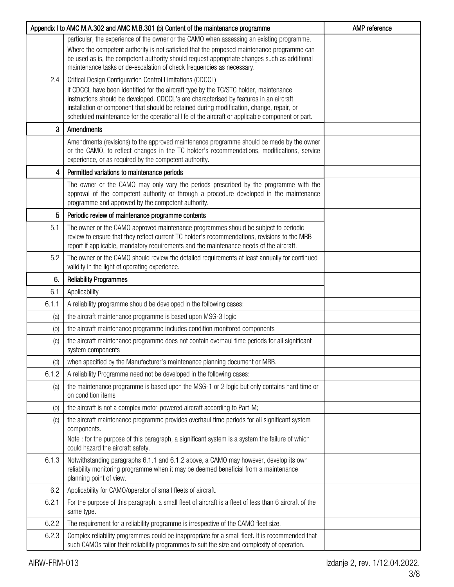|       | Appendix I to AMC M.A.302 and AMC M.B.301 (b) Content of the maintenance programme                                                                                                                                                                                  | AMP reference |
|-------|---------------------------------------------------------------------------------------------------------------------------------------------------------------------------------------------------------------------------------------------------------------------|---------------|
|       | particular, the experience of the owner or the CAMO when assessing an existing programme.                                                                                                                                                                           |               |
|       | Where the competent authority is not satisfied that the proposed maintenance programme can<br>be used as is, the competent authority should request appropriate changes such as additional<br>maintenance tasks or de-escalation of check frequencies as necessary. |               |
| 2.4   | Critical Design Configuration Control Limitations (CDCCL)                                                                                                                                                                                                           |               |
|       | If CDCCL have been identified for the aircraft type by the TC/STC holder, maintenance                                                                                                                                                                               |               |
|       | instructions should be developed. CDCCL's are characterised by features in an aircraft<br>installation or component that should be retained during modification, change, repair, or                                                                                 |               |
|       | scheduled maintenance for the operational life of the aircraft or applicable component or part.                                                                                                                                                                     |               |
| 3     | Amendments                                                                                                                                                                                                                                                          |               |
|       | Amendments (revisions) to the approved maintenance programme should be made by the owner<br>or the CAMO, to reflect changes in the TC holder's recommendations, modifications, service<br>experience, or as required by the competent authority.                    |               |
| 4     | Permitted variations to maintenance periods                                                                                                                                                                                                                         |               |
|       | The owner or the CAMO may only vary the periods prescribed by the programme with the<br>approval of the competent authority or through a procedure developed in the maintenance<br>programme and approved by the competent authority.                               |               |
| 5     | Periodic review of maintenance programme contents                                                                                                                                                                                                                   |               |
| 5.1   | The owner or the CAMO approved maintenance programmes should be subject to periodic                                                                                                                                                                                 |               |
|       | review to ensure that they reflect current TC holder's recommendations, revisions to the MRB<br>report if applicable, mandatory requirements and the maintenance needs of the aircraft.                                                                             |               |
| 5.2   | The owner or the CAMO should review the detailed requirements at least annually for continued                                                                                                                                                                       |               |
|       | validity in the light of operating experience.                                                                                                                                                                                                                      |               |
| 6.    | <b>Reliability Programmes</b>                                                                                                                                                                                                                                       |               |
| 6.1   | Applicability                                                                                                                                                                                                                                                       |               |
| 6.1.1 | A reliability programme should be developed in the following cases:                                                                                                                                                                                                 |               |
| (a)   | the aircraft maintenance programme is based upon MSG-3 logic                                                                                                                                                                                                        |               |
| (b)   | the aircraft maintenance programme includes condition monitored components                                                                                                                                                                                          |               |
| (C)   | the aircraft maintenance programme does not contain overhaul time periods for all significant<br>system components                                                                                                                                                  |               |
| (d)   | when specified by the Manufacturer's maintenance planning document or MRB.                                                                                                                                                                                          |               |
| 6.1.2 | A reliability Programme need not be developed in the following cases:                                                                                                                                                                                               |               |
| (a)   | the maintenance programme is based upon the MSG-1 or 2 logic but only contains hard time or<br>on condition items                                                                                                                                                   |               |
| (b)   | the aircraft is not a complex motor-powered aircraft according to Part-M;                                                                                                                                                                                           |               |
| (C)   | the aircraft maintenance programme provides overhaul time periods for all significant system<br>components.                                                                                                                                                         |               |
|       | Note: for the purpose of this paragraph, a significant system is a system the failure of which<br>could hazard the aircraft safety.                                                                                                                                 |               |
| 6.1.3 | Notwithstanding paragraphs 6.1.1 and 6.1.2 above, a CAMO may however, develop its own<br>reliability monitoring programme when it may be deemed beneficial from a maintenance<br>planning point of view.                                                            |               |
| 6.2   | Applicability for CAMO/operator of small fleets of aircraft.                                                                                                                                                                                                        |               |
| 6.2.1 | For the purpose of this paragraph, a small fleet of aircraft is a fleet of less than 6 aircraft of the<br>same type.                                                                                                                                                |               |
| 6.2.2 | The requirement for a reliability programme is irrespective of the CAMO fleet size.                                                                                                                                                                                 |               |
| 6.2.3 | Complex reliability programmes could be inappropriate for a small fleet. It is recommended that                                                                                                                                                                     |               |
|       | such CAMOs tailor their reliability programmes to suit the size and complexity of operation.                                                                                                                                                                        |               |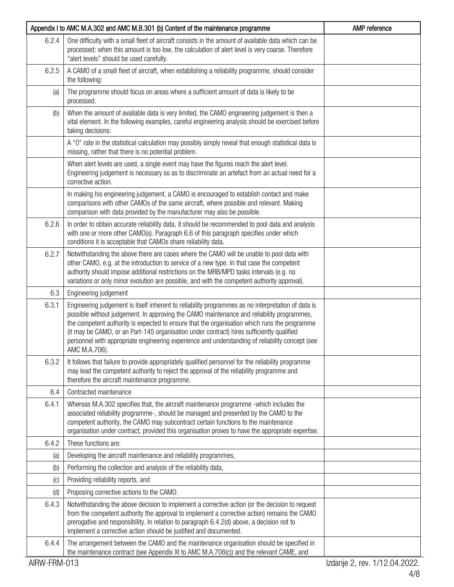|       | Appendix I to AMC M.A.302 and AMC M.B.301 (b) Content of the maintenance programme                                                                                                                                                                                                                                                                                                                                                                                                                               | AMP reference |
|-------|------------------------------------------------------------------------------------------------------------------------------------------------------------------------------------------------------------------------------------------------------------------------------------------------------------------------------------------------------------------------------------------------------------------------------------------------------------------------------------------------------------------|---------------|
| 6.2.4 | One difficulty with a small fleet of aircraft consists in the amount of available data which can be<br>processed: when this amount is too low, the calculation of alert level is very coarse. Therefore<br>"alert levels" should be used carefully.                                                                                                                                                                                                                                                              |               |
| 6.2.5 | A CAMO of a small fleet of aircraft, when establishing a reliability programme, should consider<br>the following:                                                                                                                                                                                                                                                                                                                                                                                                |               |
| (a)   | The programme should focus on areas where a sufficient amount of data is likely to be<br>processed.                                                                                                                                                                                                                                                                                                                                                                                                              |               |
| (b)   | When the amount of available data is very limited, the CAMO engineering judgement is then a<br>vital element. In the following examples, careful engineering analysis should be exercised before<br>taking decisions:                                                                                                                                                                                                                                                                                            |               |
|       | A "0" rate in the statistical calculation may possibly simply reveal that enough statistical data is<br>missing, rather that there is no potential problem.                                                                                                                                                                                                                                                                                                                                                      |               |
|       | When alert levels are used, a single event may have the figures reach the alert level.<br>Engineering judgement is necessary so as to discriminate an artefact from an actual need for a<br>corrective action.                                                                                                                                                                                                                                                                                                   |               |
|       | In making his engineering judgement, a CAMO is encouraged to establish contact and make<br>comparisons with other CAMOs of the same aircraft, where possible and relevant. Making<br>comparison with data provided by the manufacturer may also be possible.                                                                                                                                                                                                                                                     |               |
| 6.2.6 | In order to obtain accurate reliability data, it should be recommended to pool data and analysis<br>with one or more other CAMO(s). Paragraph 6.6 of this paragraph specifies under which<br>conditions it is acceptable that CAMOs share reliability data.                                                                                                                                                                                                                                                      |               |
| 6.2.7 | Notwithstanding the above there are cases where the CAMO will be unable to pool data with<br>other CAMO, e.g. at the introduction to service of a new type. In that case the competent<br>authority should impose additional restrictions on the MRB/MPD tasks intervals (e.g. no<br>variations or only minor evolution are possible, and with the competent authority approval).                                                                                                                                |               |
| 6.3   | Engineering judgement                                                                                                                                                                                                                                                                                                                                                                                                                                                                                            |               |
| 6.3.1 | Engineering judgement is itself inherent to reliability programmes as no interpretation of data is<br>possible without judgement. In approving the CAMO maintenance and reliability programmes,<br>the competent authority is expected to ensure that the organisation which runs the programme<br>(it may be CAMO, or an Part-145 organisation under contract) hires sufficiently qualified<br>personnel with appropriate engineering experience and understanding of reliability concept (see<br>AMC M.A.706). |               |
| 6.3.2 | It follows that failure to provide appropriately qualified personnel for the reliability programme<br>may lead the competent authority to reject the approval of the reliability programme and<br>therefore the aircraft maintenance programme.                                                                                                                                                                                                                                                                  |               |
| 6.4   | Contracted maintenance                                                                                                                                                                                                                                                                                                                                                                                                                                                                                           |               |
| 6.4.1 | Whereas M.A.302 specifies that, the aircraft maintenance programme -which includes the<br>associated reliability programme-, should be managed and presented by the CAMO to the<br>competent authority, the CAMO may subcontract certain functions to the maintenance<br>organisation under contract, provided this organisation proves to have the appropriate expertise.                                                                                                                                       |               |
| 6.4.2 | These functions are:                                                                                                                                                                                                                                                                                                                                                                                                                                                                                             |               |
| (a)   | Developing the aircraft maintenance and reliability programmes,                                                                                                                                                                                                                                                                                                                                                                                                                                                  |               |
| (b)   | Performing the collection and analysis of the reliability data,                                                                                                                                                                                                                                                                                                                                                                                                                                                  |               |
| (C)   | Providing reliability reports, and                                                                                                                                                                                                                                                                                                                                                                                                                                                                               |               |
| (d)   | Proposing corrective actions to the CAMO.                                                                                                                                                                                                                                                                                                                                                                                                                                                                        |               |
| 6.4.3 | Notwithstanding the above decision to implement a corrective action (or the decision to request<br>from the competent authority the approval to implement a corrective action) remains the CAMO<br>prerogative and responsibility. In relation to paragraph 6.4.2(d) above, a decision not to<br>implement a corrective action should be justified and documented.                                                                                                                                               |               |
| 6.4.4 | The arrangement between the CAMO and the maintenance organisation should be specified in<br>the maintenance contract (see Appendix XI to AMC M.A.708(c)) and the relevant CAME, and                                                                                                                                                                                                                                                                                                                              |               |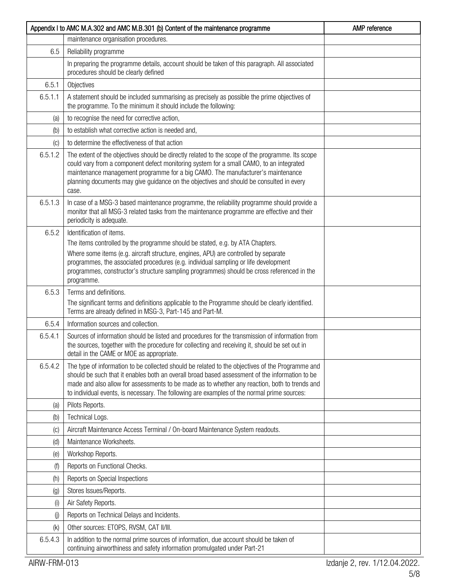|                           | Appendix I to AMC M.A.302 and AMC M.B.301 (b) Content of the maintenance programme                                                                                                                                                                                                                                                                                                                 | AMP reference |
|---------------------------|----------------------------------------------------------------------------------------------------------------------------------------------------------------------------------------------------------------------------------------------------------------------------------------------------------------------------------------------------------------------------------------------------|---------------|
|                           | maintenance organisation procedures.                                                                                                                                                                                                                                                                                                                                                               |               |
| 6.5                       | Reliability programme                                                                                                                                                                                                                                                                                                                                                                              |               |
|                           | In preparing the programme details, account should be taken of this paragraph. All associated<br>procedures should be clearly defined                                                                                                                                                                                                                                                              |               |
| 6.5.1                     | Objectives                                                                                                                                                                                                                                                                                                                                                                                         |               |
| 6.5.1.1                   | A statement should be included summarising as precisely as possible the prime objectives of<br>the programme. To the minimum it should include the following:                                                                                                                                                                                                                                      |               |
| (a)                       | to recognise the need for corrective action,                                                                                                                                                                                                                                                                                                                                                       |               |
| (b)                       | to establish what corrective action is needed and,                                                                                                                                                                                                                                                                                                                                                 |               |
| (C)                       | to determine the effectiveness of that action                                                                                                                                                                                                                                                                                                                                                      |               |
| 6.5.1.2                   | The extent of the objectives should be directly related to the scope of the programme. Its scope<br>could vary from a component defect monitoring system for a small CAMO, to an integrated<br>maintenance management programme for a big CAMO. The manufacturer's maintenance<br>planning documents may give guidance on the objectives and should be consulted in every<br>case.                 |               |
| 6.5.1.3                   | In case of a MSG-3 based maintenance programme, the reliability programme should provide a<br>monitor that all MSG-3 related tasks from the maintenance programme are effective and their<br>periodicity is adequate.                                                                                                                                                                              |               |
| 6.5.2                     | Identification of items.                                                                                                                                                                                                                                                                                                                                                                           |               |
|                           | The items controlled by the programme should be stated, e.g. by ATA Chapters.                                                                                                                                                                                                                                                                                                                      |               |
|                           | Where some items (e.g. aircraft structure, engines, APU) are controlled by separate<br>programmes, the associated procedures (e.g. individual sampling or life development<br>programmes, constructor's structure sampling programmes) should be cross referenced in the<br>programme.                                                                                                             |               |
| 6.5.3                     | Terms and definitions.                                                                                                                                                                                                                                                                                                                                                                             |               |
|                           | The significant terms and definitions applicable to the Programme should be clearly identified.<br>Terms are already defined in MSG-3, Part-145 and Part-M.                                                                                                                                                                                                                                        |               |
| 6.5.4                     | Information sources and collection.                                                                                                                                                                                                                                                                                                                                                                |               |
| 6.5.4.1                   | Sources of information should be listed and procedures for the transmission of information from<br>the sources, together with the procedure for collecting and receiving it, should be set out in<br>detail in the CAME or MOE as appropriate.                                                                                                                                                     |               |
| 6.5.4.2                   | The type of information to be collected should be related to the objectives of the Programme and<br>should be such that it enables both an overall broad based assessment of the information to be<br>made and also allow for assessments to be made as to whether any reaction, both to trends and<br>to individual events, is necessary. The following are examples of the normal prime sources: |               |
| (a)                       | Pilots Reports.                                                                                                                                                                                                                                                                                                                                                                                    |               |
| (b)                       | Technical Logs.                                                                                                                                                                                                                                                                                                                                                                                    |               |
| (C)                       | Aircraft Maintenance Access Terminal / On-board Maintenance System readouts.                                                                                                                                                                                                                                                                                                                       |               |
| (d)                       | Maintenance Worksheets.                                                                                                                                                                                                                                                                                                                                                                            |               |
| (e)                       | Workshop Reports.                                                                                                                                                                                                                                                                                                                                                                                  |               |
| (f)                       | Reports on Functional Checks.                                                                                                                                                                                                                                                                                                                                                                      |               |
| (h)                       | Reports on Special Inspections                                                                                                                                                                                                                                                                                                                                                                     |               |
| (g)                       | Stores Issues/Reports.                                                                                                                                                                                                                                                                                                                                                                             |               |
| (i)                       | Air Safety Reports.                                                                                                                                                                                                                                                                                                                                                                                |               |
| $\left(\mathbf{j}\right)$ | Reports on Technical Delays and Incidents.                                                                                                                                                                                                                                                                                                                                                         |               |
| (k)                       | Other sources: ETOPS, RVSM, CAT II/III.                                                                                                                                                                                                                                                                                                                                                            |               |
| 6.5.4.3                   | In addition to the normal prime sources of information, due account should be taken of<br>continuing airworthiness and safety information promulgated under Part-21                                                                                                                                                                                                                                |               |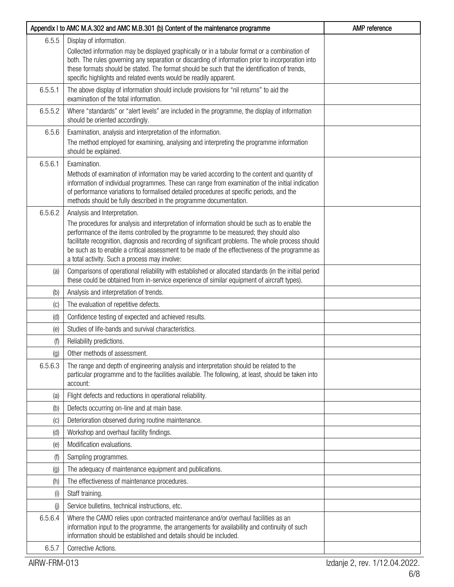|         | Appendix I to AMC M.A.302 and AMC M.B.301 (b) Content of the maintenance programme                                                                                                                                                                                                                                                                                                                                                                                             | AMP reference |
|---------|--------------------------------------------------------------------------------------------------------------------------------------------------------------------------------------------------------------------------------------------------------------------------------------------------------------------------------------------------------------------------------------------------------------------------------------------------------------------------------|---------------|
| 6.5.5   | Display of information.<br>Collected information may be displayed graphically or in a tabular format or a combination of<br>both. The rules governing any separation or discarding of information prior to incorporation into<br>these formats should be stated. The format should be such that the identification of trends,<br>specific highlights and related events would be readily apparent.                                                                             |               |
| 6.5.5.1 | The above display of information should include provisions for "nil returns" to aid the<br>examination of the total information.                                                                                                                                                                                                                                                                                                                                               |               |
| 6.5.5.2 | Where "standards" or "alert levels" are included in the programme, the display of information<br>should be oriented accordingly.                                                                                                                                                                                                                                                                                                                                               |               |
| 6.5.6   | Examination, analysis and interpretation of the information.<br>The method employed for examining, analysing and interpreting the programme information<br>should be explained.                                                                                                                                                                                                                                                                                                |               |
| 6.5.6.1 | Examination.<br>Methods of examination of information may be varied according to the content and quantity of<br>information of individual programmes. These can range from examination of the initial indication<br>of performance variations to formalised detailed procedures at specific periods, and the<br>methods should be fully described in the programme documentation.                                                                                              |               |
| 6.5.6.2 | Analysis and Interpretation.<br>The procedures for analysis and interpretation of information should be such as to enable the<br>performance of the items controlled by the programme to be measured; they should also<br>facilitate recognition, diagnosis and recording of significant problems. The whole process should<br>be such as to enable a critical assessment to be made of the effectiveness of the programme as<br>a total activity. Such a process may involve: |               |
| (a)     | Comparisons of operational reliability with established or allocated standards (in the initial period<br>these could be obtained from in-service experience of similar equipment of aircraft types).                                                                                                                                                                                                                                                                           |               |
| (b)     | Analysis and interpretation of trends.                                                                                                                                                                                                                                                                                                                                                                                                                                         |               |
| (C)     | The evaluation of repetitive defects.                                                                                                                                                                                                                                                                                                                                                                                                                                          |               |
| (d)     | Confidence testing of expected and achieved results.                                                                                                                                                                                                                                                                                                                                                                                                                           |               |
| (e)     | Studies of life-bands and survival characteristics.                                                                                                                                                                                                                                                                                                                                                                                                                            |               |
| (f)     | Reliability predictions.                                                                                                                                                                                                                                                                                                                                                                                                                                                       |               |
| (g)     | Other methods of assessment.                                                                                                                                                                                                                                                                                                                                                                                                                                                   |               |
| 6.5.6.3 | The range and depth of engineering analysis and interpretation should be related to the<br>particular programme and to the facilities available. The following, at least, should be taken into<br>account:                                                                                                                                                                                                                                                                     |               |
| (a)     | Flight defects and reductions in operational reliability.                                                                                                                                                                                                                                                                                                                                                                                                                      |               |
| (b)     | Defects occurring on-line and at main base.                                                                                                                                                                                                                                                                                                                                                                                                                                    |               |
| (C)     | Deterioration observed during routine maintenance.                                                                                                                                                                                                                                                                                                                                                                                                                             |               |
| (d)     | Workshop and overhaul facility findings.                                                                                                                                                                                                                                                                                                                                                                                                                                       |               |
| (e)     | Modification evaluations.                                                                                                                                                                                                                                                                                                                                                                                                                                                      |               |
| (f)     | Sampling programmes.                                                                                                                                                                                                                                                                                                                                                                                                                                                           |               |
| (g)     | The adequacy of maintenance equipment and publications.                                                                                                                                                                                                                                                                                                                                                                                                                        |               |
| (h)     | The effectiveness of maintenance procedures.                                                                                                                                                                                                                                                                                                                                                                                                                                   |               |
| (i)     | Staff training.                                                                                                                                                                                                                                                                                                                                                                                                                                                                |               |
| (j)     | Service bulletins, technical instructions, etc.                                                                                                                                                                                                                                                                                                                                                                                                                                |               |
| 6.5.6.4 | Where the CAMO relies upon contracted maintenance and/or overhaul facilities as an<br>information input to the programme, the arrangements for availability and continuity of such<br>information should be established and details should be included.                                                                                                                                                                                                                        |               |
| 6.5.7   | Corrective Actions.                                                                                                                                                                                                                                                                                                                                                                                                                                                            |               |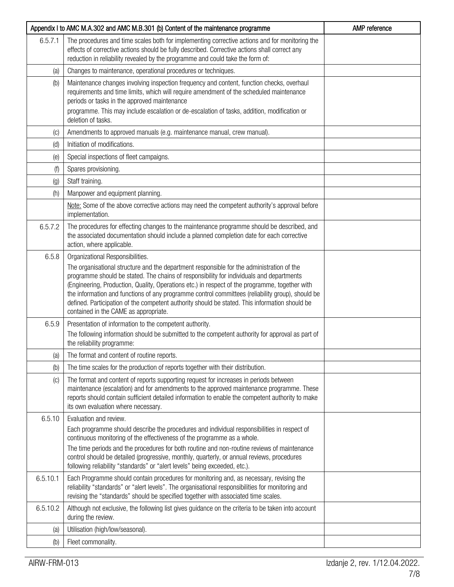|                   | Appendix I to AMC M.A.302 and AMC M.B.301 (b) Content of the maintenance programme                                                                                                                                                                                                                                                                                                                                                                                                                                                                                         | AMP reference |
|-------------------|----------------------------------------------------------------------------------------------------------------------------------------------------------------------------------------------------------------------------------------------------------------------------------------------------------------------------------------------------------------------------------------------------------------------------------------------------------------------------------------------------------------------------------------------------------------------------|---------------|
| 6.5.7.1           | The procedures and time scales both for implementing corrective actions and for monitoring the<br>effects of corrective actions should be fully described. Corrective actions shall correct any<br>reduction in reliability revealed by the programme and could take the form of:                                                                                                                                                                                                                                                                                          |               |
| (a)               | Changes to maintenance, operational procedures or techniques.                                                                                                                                                                                                                                                                                                                                                                                                                                                                                                              |               |
| (b)               | Maintenance changes involving inspection frequency and content, function checks, overhaul<br>requirements and time limits, which will require amendment of the scheduled maintenance<br>periods or tasks in the approved maintenance<br>programme. This may include escalation or de-escalation of tasks, addition, modification or<br>deletion of tasks.                                                                                                                                                                                                                  |               |
| $\left( $         | Amendments to approved manuals (e.g. maintenance manual, crew manual).                                                                                                                                                                                                                                                                                                                                                                                                                                                                                                     |               |
| (d)               | Initiation of modifications.                                                                                                                                                                                                                                                                                                                                                                                                                                                                                                                                               |               |
| (e)               | Special inspections of fleet campaigns.                                                                                                                                                                                                                                                                                                                                                                                                                                                                                                                                    |               |
| (f)               | Spares provisioning.                                                                                                                                                                                                                                                                                                                                                                                                                                                                                                                                                       |               |
| $\left( 9\right)$ | Staff training.                                                                                                                                                                                                                                                                                                                                                                                                                                                                                                                                                            |               |
| (h)               | Manpower and equipment planning.                                                                                                                                                                                                                                                                                                                                                                                                                                                                                                                                           |               |
|                   | Note: Some of the above corrective actions may need the competent authority's approval before<br>implementation.                                                                                                                                                                                                                                                                                                                                                                                                                                                           |               |
| 6.5.7.2           | The procedures for effecting changes to the maintenance programme should be described, and<br>the associated documentation should include a planned completion date for each corrective<br>action, where applicable.                                                                                                                                                                                                                                                                                                                                                       |               |
| 6.5.8             | Organizational Responsibilities.<br>The organisational structure and the department responsible for the administration of the<br>programme should be stated. The chains of responsibility for individuals and departments<br>(Engineering, Production, Quality, Operations etc.) in respect of the programme, together with<br>the information and functions of any programme control committees (reliability group), should be<br>defined. Participation of the competent authority should be stated. This information should be<br>contained in the CAME as appropriate. |               |
| 6.5.9             | Presentation of information to the competent authority.<br>The following information should be submitted to the competent authority for approval as part of<br>the reliability programme:                                                                                                                                                                                                                                                                                                                                                                                  |               |
| (a)               | The format and content of routine reports.                                                                                                                                                                                                                                                                                                                                                                                                                                                                                                                                 |               |
| (b)               | The time scales for the production of reports together with their distribution.                                                                                                                                                                                                                                                                                                                                                                                                                                                                                            |               |
| (C)               | The format and content of reports supporting request for increases in periods between<br>maintenance (escalation) and for amendments to the approved maintenance programme. These<br>reports should contain sufficient detailed information to enable the competent authority to make<br>its own evaluation where necessary.                                                                                                                                                                                                                                               |               |
| 6.5.10            | Evaluation and review.                                                                                                                                                                                                                                                                                                                                                                                                                                                                                                                                                     |               |
|                   | Each programme should describe the procedures and individual responsibilities in respect of<br>continuous monitoring of the effectiveness of the programme as a whole.                                                                                                                                                                                                                                                                                                                                                                                                     |               |
|                   | The time periods and the procedures for both routine and non-routine reviews of maintenance<br>control should be detailed (progressive, monthly, quarterly, or annual reviews, procedures<br>following reliability "standards" or "alert levels" being exceeded, etc.).                                                                                                                                                                                                                                                                                                    |               |
| 6.5.10.1          | Each Programme should contain procedures for monitoring and, as necessary, revising the<br>reliability "standards" or "alert levels". The organisational responsibilities for monitoring and<br>revising the "standards" should be specified together with associated time scales.                                                                                                                                                                                                                                                                                         |               |
| 6.5.10.2          | Although not exclusive, the following list gives guidance on the criteria to be taken into account<br>during the review.                                                                                                                                                                                                                                                                                                                                                                                                                                                   |               |
| (a)               | Utilisation (high/low/seasonal).                                                                                                                                                                                                                                                                                                                                                                                                                                                                                                                                           |               |
| (b)               | Fleet commonality.                                                                                                                                                                                                                                                                                                                                                                                                                                                                                                                                                         |               |